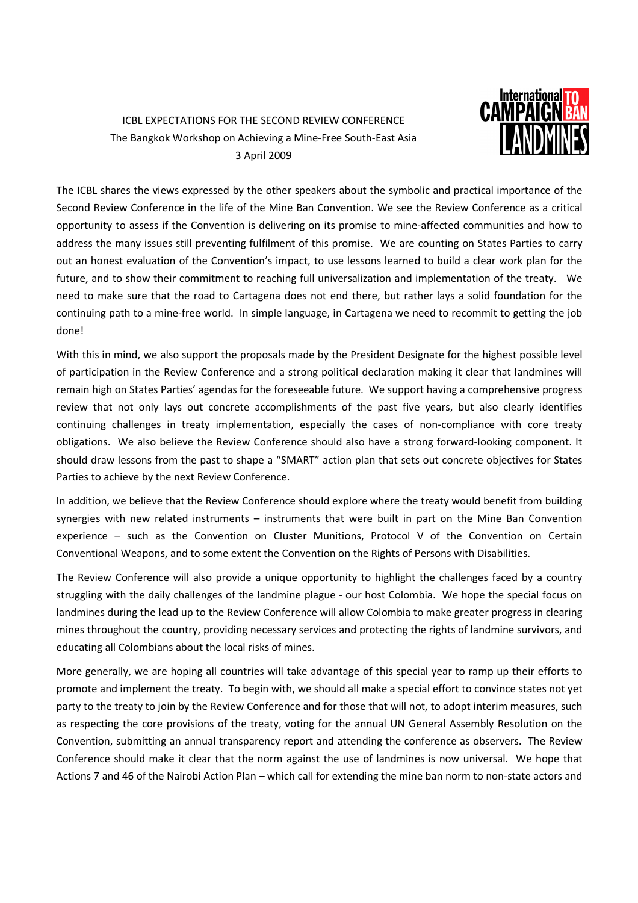## ICBL EXPECTATIONS FOR THE SECOND REVIEW CONFERENCE The Bangkok Workshop on Achieving a Mine-Free South-East Asia 3 April 2009



The ICBL shares the views expressed by the other speakers about the symbolic and practical importance of the Second Review Conference in the life of the Mine Ban Convention. We see the Review Conference as a critical opportunity to assess if the Convention is delivering on its promise to mine-affected communities and how to address the many issues still preventing fulfilment of this promise. We are counting on States Parties to carry out an honest evaluation of the Convention's impact, to use lessons learned to build a clear work plan for the future, and to show their commitment to reaching full universalization and implementation of the treaty. We need to make sure that the road to Cartagena does not end there, but rather lays a solid foundation for the continuing path to a mine-free world. In simple language, in Cartagena we need to recommit to getting the job done!

With this in mind, we also support the proposals made by the President Designate for the highest possible level of participation in the Review Conference and a strong political declaration making it clear that landmines will remain high on States Parties' agendas for the foreseeable future. We support having a comprehensive progress review that not only lays out concrete accomplishments of the past five years, but also clearly identifies continuing challenges in treaty implementation, especially the cases of non-compliance with core treaty obligations. We also believe the Review Conference should also have a strong forward-looking component. It should draw lessons from the past to shape a "SMART" action plan that sets out concrete objectives for States Parties to achieve by the next Review Conference.

In addition, we believe that the Review Conference should explore where the treaty would benefit from building synergies with new related instruments – instruments that were built in part on the Mine Ban Convention experience – such as the Convention on Cluster Munitions, Protocol V of the Convention on Certain Conventional Weapons, and to some extent the Convention on the Rights of Persons with Disabilities.

The Review Conference will also provide a unique opportunity to highlight the challenges faced by a country struggling with the daily challenges of the landmine plague - our host Colombia. We hope the special focus on landmines during the lead up to the Review Conference will allow Colombia to make greater progress in clearing mines throughout the country, providing necessary services and protecting the rights of landmine survivors, and educating all Colombians about the local risks of mines.

More generally, we are hoping all countries will take advantage of this special year to ramp up their efforts to promote and implement the treaty. To begin with, we should all make a special effort to convince states not yet party to the treaty to join by the Review Conference and for those that will not, to adopt interim measures, such as respecting the core provisions of the treaty, voting for the annual UN General Assembly Resolution on the Convention, submitting an annual transparency report and attending the conference as observers. The Review Conference should make it clear that the norm against the use of landmines is now universal. We hope that Actions 7 and 46 of the Nairobi Action Plan – which call for extending the mine ban norm to non-state actors and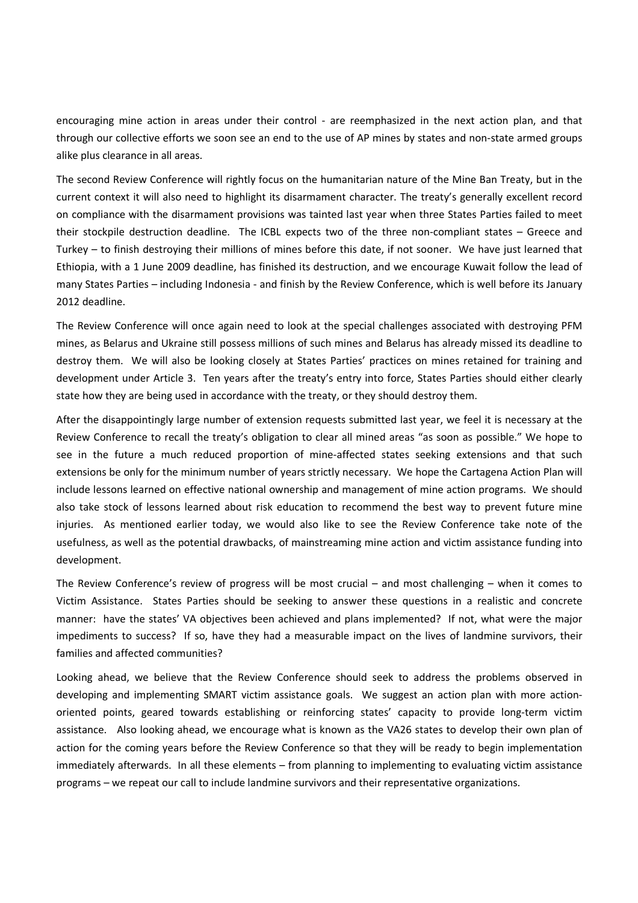encouraging mine action in areas under their control - are reemphasized in the next action plan, and that through our collective efforts we soon see an end to the use of AP mines by states and non-state armed groups alike plus clearance in all areas.

The second Review Conference will rightly focus on the humanitarian nature of the Mine Ban Treaty, but in the current context it will also need to highlight its disarmament character. The treaty's generally excellent record on compliance with the disarmament provisions was tainted last year when three States Parties failed to meet their stockpile destruction deadline. The ICBL expects two of the three non-compliant states – Greece and Turkey – to finish destroying their millions of mines before this date, if not sooner. We have just learned that Ethiopia, with a 1 June 2009 deadline, has finished its destruction, and we encourage Kuwait follow the lead of many States Parties – including Indonesia - and finish by the Review Conference, which is well before its January 2012 deadline.

The Review Conference will once again need to look at the special challenges associated with destroying PFM mines, as Belarus and Ukraine still possess millions of such mines and Belarus has already missed its deadline to destroy them. We will also be looking closely at States Parties' practices on mines retained for training and development under Article 3. Ten years after the treaty's entry into force, States Parties should either clearly state how they are being used in accordance with the treaty, or they should destroy them.

After the disappointingly large number of extension requests submitted last year, we feel it is necessary at the Review Conference to recall the treaty's obligation to clear all mined areas "as soon as possible." We hope to see in the future a much reduced proportion of mine-affected states seeking extensions and that such extensions be only for the minimum number of years strictly necessary. We hope the Cartagena Action Plan will include lessons learned on effective national ownership and management of mine action programs. We should also take stock of lessons learned about risk education to recommend the best way to prevent future mine injuries. As mentioned earlier today, we would also like to see the Review Conference take note of the usefulness, as well as the potential drawbacks, of mainstreaming mine action and victim assistance funding into development.

The Review Conference's review of progress will be most crucial – and most challenging – when it comes to Victim Assistance. States Parties should be seeking to answer these questions in a realistic and concrete manner: have the states' VA objectives been achieved and plans implemented? If not, what were the major impediments to success? If so, have they had a measurable impact on the lives of landmine survivors, their families and affected communities?

Looking ahead, we believe that the Review Conference should seek to address the problems observed in developing and implementing SMART victim assistance goals. We suggest an action plan with more actionoriented points, geared towards establishing or reinforcing states' capacity to provide long-term victim assistance. Also looking ahead, we encourage what is known as the VA26 states to develop their own plan of action for the coming years before the Review Conference so that they will be ready to begin implementation immediately afterwards. In all these elements – from planning to implementing to evaluating victim assistance programs – we repeat our call to include landmine survivors and their representative organizations.